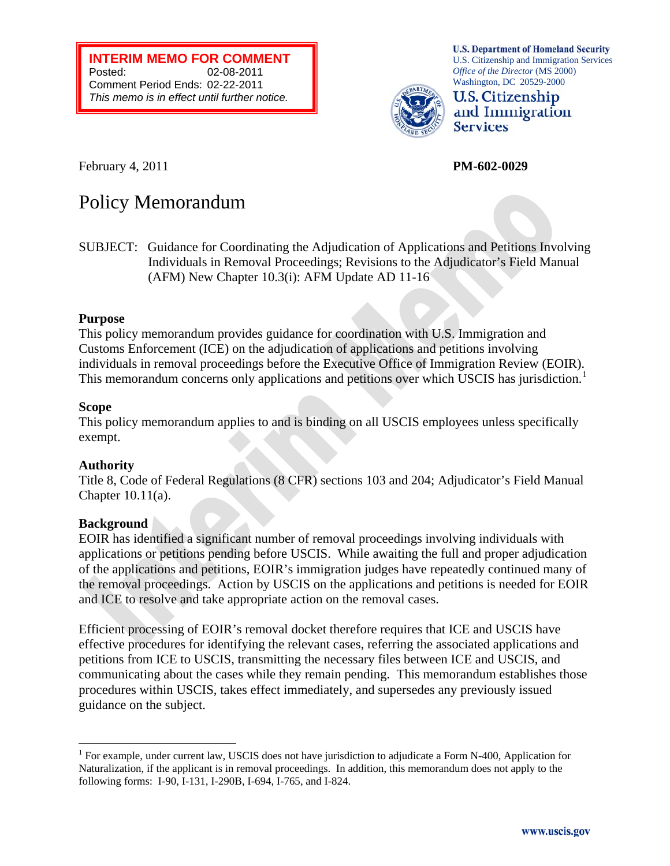**INTERIM MEMO FOR COMMENT**  Posted: 02-08-2011 Comment Period Ends: 02-22-2011 *This memo is in effect until further notice.*

**U.S. Department of Homeland Security** U.S. Citizenship and Immigration Services *Office of the Director* (MS 2000) Washington, DC 20529-2000



February 4, 2011 **PM-602-0029** 

# Policy Memorandum

SUBJECT: Guidance for Coordinating the Adjudication of Applications and Petitions Involving Individuals in Removal Proceedings; Revisions to the Adjudicator's Field Manual (AFM) New Chapter 10.3(i): AFM Update AD 11-16

## **Purpose**

This policy memorandum provides guidance for coordination with U.S. Immigration and Customs Enforcement (ICE) on the adjudication of applications and petitions involving individuals in removal proceedings before the Executive Office of Immigration Review (EOIR). This memorandum concerns only applications and petitions over which USCIS has jurisdiction.<sup>[1](#page-0-0)</sup>

## **Scope**

This policy memorandum applies to and is binding on all USCIS employees unless specifically exempt.

## **Authority**

Title 8, Code of Federal Regulations (8 CFR) sections 103 and 204; Adjudicator's Field Manual Chapter 10.11(a).

## **Background**

 $\overline{a}$ 

EOIR has identified a significant number of removal proceedings involving individuals with applications or petitions pending before USCIS. While awaiting the full and proper adjudication of the applications and petitions, EOIR's immigration judges have repeatedly continued many of the removal proceedings. Action by USCIS on the applications and petitions is needed for EOIR and ICE to resolve and take appropriate action on the removal cases.

Efficient processing of EOIR's removal docket therefore requires that ICE and USCIS have effective procedures for identifying the relevant cases, referring the associated applications and petitions from ICE to USCIS, transmitting the necessary files between ICE and USCIS, and communicating about the cases while they remain pending. This memorandum establishes those procedures within USCIS, takes effect immediately, and supersedes any previously issued guidance on the subject.

<span id="page-0-0"></span><sup>&</sup>lt;sup>1</sup> For example, under current law, USCIS does not have jurisdiction to adjudicate a Form N-400, Application for Naturalization, if the applicant is in removal proceedings. In addition, this memorandum does not apply to the following forms: I-90, I-131, I-290B, I-694, I-765, and I-824.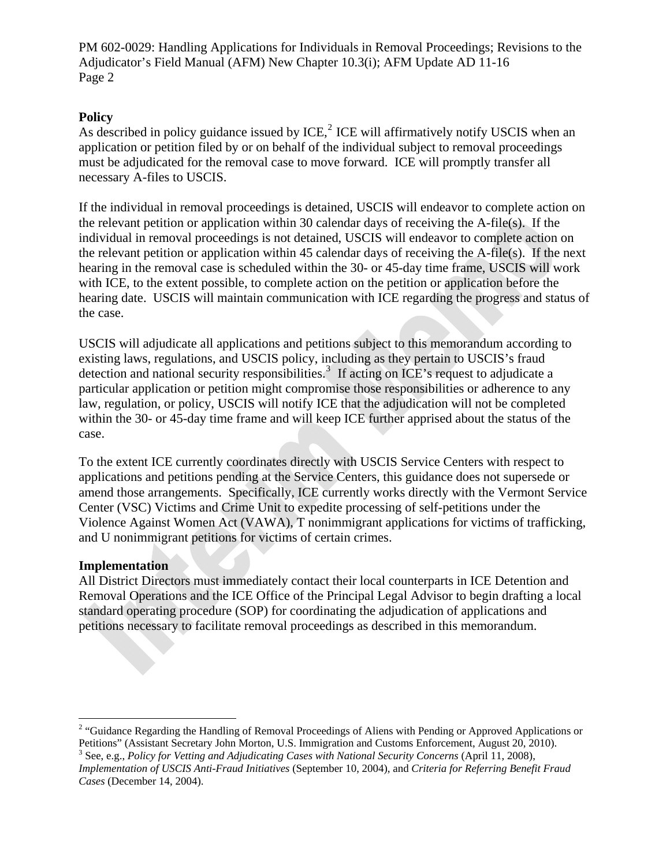PM 602-0029: Handling Applications for Individuals in Removal Proceedings; Revisions to the Adjudicator's Field Manual (AFM) New Chapter 10.3(i); AFM Update AD 11-16 Page 2

## **Policy**

As described in policy guidance issued by ICE, $<sup>2</sup>$  $<sup>2</sup>$  $<sup>2</sup>$  ICE will affirmatively notify USCIS when an</sup> application or petition filed by or on behalf of the individual subject to removal proceedings must be adjudicated for the removal case to move forward. ICE will promptly transfer all necessary A-files to USCIS.

If the individual in removal proceedings is detained, USCIS will endeavor to complete action on the relevant petition or application within 30 calendar days of receiving the A-file(s). If the individual in removal proceedings is not detained, USCIS will endeavor to complete action on the relevant petition or application within 45 calendar days of receiving the A-file(s). If the next hearing in the removal case is scheduled within the 30- or 45-day time frame, USCIS will work with ICE, to the extent possible, to complete action on the petition or application before the hearing date. USCIS will maintain communication with ICE regarding the progress and status of the case.

USCIS will adjudicate all applications and petitions subject to this memorandum according to existing laws, regulations, and USCIS policy, including as they pertain to USCIS's fraud detection and national security responsibilities.<sup>[3](#page-1-1)</sup> If acting on ICE's request to adjudicate a particular application or petition might compromise those responsibilities or adherence to any law, regulation, or policy, USCIS will notify ICE that the adjudication will not be completed within the 30- or 45-day time frame and will keep ICE further apprised about the status of the case.

To the extent ICE currently coordinates directly with USCIS Service Centers with respect to applications and petitions pending at the Service Centers, this guidance does not supersede or amend those arrangements. Specifically, ICE currently works directly with the Vermont Service Center (VSC) Victims and Crime Unit to expedite processing of self-petitions under the Violence Against Women Act (VAWA), T nonimmigrant applications for victims of trafficking, and U nonimmigrant petitions for victims of certain crimes.

## **Implementation**

 $\overline{a}$ 

All District Directors must immediately contact their local counterparts in ICE Detention and Removal Operations and the ICE Office of the Principal Legal Advisor to begin drafting a local standard operating procedure (SOP) for coordinating the adjudication of applications and petitions necessary to facilitate removal proceedings as described in this memorandum.

<span id="page-1-0"></span><sup>&</sup>lt;sup>2</sup> "Guidance Regarding the Handling of Removal Proceedings of Aliens with Pending or Approved Applications or Petitions" (Assistant Secretary John Morton, U.S. Immigration and Customs Enforcement, August 20, 2010).

<span id="page-1-1"></span><sup>&</sup>lt;sup>3</sup> See, e.g., *Policy for Vetting and Adjudicating Cases with National Security Concerns* (April 11, 2008), *Implementation of USCIS Anti-Fraud Initiatives* (September 10, 2004), and *Criteria for Referring Benefit Fraud Cases* (December 14, 2004).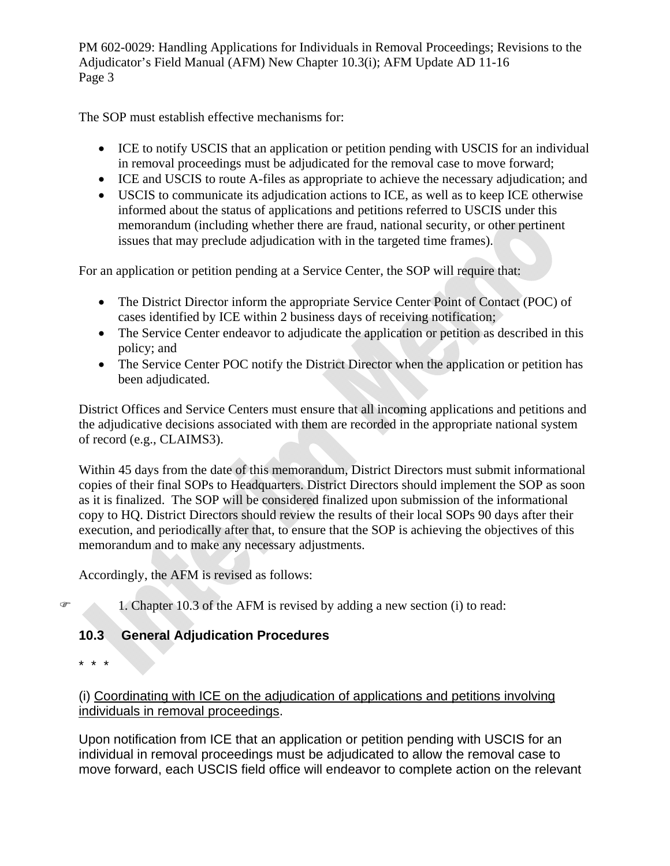PM 602-0029: Handling Applications for Individuals in Removal Proceedings; Revisions to the Adjudicator's Field Manual (AFM) New Chapter 10.3(i); AFM Update AD 11-16 Page 3

The SOP must establish effective mechanisms for:

- ICE to notify USCIS that an application or petition pending with USCIS for an individual in removal proceedings must be adjudicated for the removal case to move forward;
- ICE and USCIS to route A-files as appropriate to achieve the necessary adjudication; and
- USCIS to communicate its adjudication actions to ICE, as well as to keep ICE otherwise informed about the status of applications and petitions referred to USCIS under this memorandum (including whether there are fraud, national security, or other pertinent issues that may preclude adjudication with in the targeted time frames).

For an application or petition pending at a Service Center, the SOP will require that:

- The District Director inform the appropriate Service Center Point of Contact (POC) of cases identified by ICE within 2 business days of receiving notification;
- The Service Center endeavor to adjudicate the application or petition as described in this policy; and
- The Service Center POC notify the District Director when the application or petition has been adjudicated.

District Offices and Service Centers must ensure that all incoming applications and petitions and the adjudicative decisions associated with them are recorded in the appropriate national system of record (e.g., CLAIMS3).

Within 45 days from the date of this memorandum, District Directors must submit informational copies of their final SOPs to Headquarters. District Directors should implement the SOP as soon as it is finalized. The SOP will be considered finalized upon submission of the informational copy to HQ. District Directors should review the results of their local SOPs 90 days after their execution, and periodically after that, to ensure that the SOP is achieving the objectives of this memorandum and to make any necessary adjustments.

Accordingly, the AFM is revised as follows:

 $\mathcal{F}$  1. Chapter 10.3 of the AFM is revised by adding a new section (i) to read:

# **10.3 General Adjudication Procedures**

\* \* \*

# (i) Coordinating with ICE on the adjudication of applications and petitions involving individuals in removal proceedings.

Upon notification from ICE that an application or petition pending with USCIS for an individual in removal proceedings must be adjudicated to allow the removal case to move forward, each USCIS field office will endeavor to complete action on the relevant